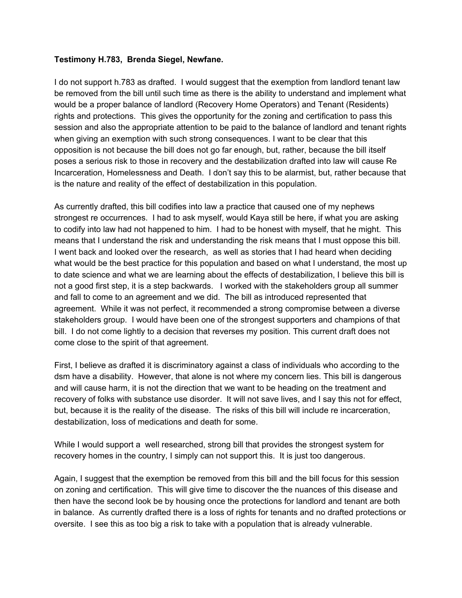#### **Testimony H.783, Brenda Siegel, Newfane.**

I do not support h.783 as drafted. I would suggest that the exemption from landlord tenant law be removed from the bill until such time as there is the ability to understand and implement what would be a proper balance of landlord (Recovery Home Operators) and Tenant (Residents) rights and protections. This gives the opportunity for the zoning and certification to pass this session and also the appropriate attention to be paid to the balance of landlord and tenant rights when giving an exemption with such strong consequences. I want to be clear that this opposition is not because the bill does not go far enough, but, rather, because the bill itself poses a serious risk to those in recovery and the destabilization drafted into law will cause Re Incarceration, Homelessness and Death. I don't say this to be alarmist, but, rather because that is the nature and reality of the effect of destabilization in this population.

As currently drafted, this bill codifies into law a practice that caused one of my nephews strongest re occurrences. I had to ask myself, would Kaya still be here, if what you are asking to codify into law had not happened to him. I had to be honest with myself, that he might. This means that I understand the risk and understanding the risk means that I must oppose this bill. I went back and looked over the research, as well as stories that I had heard when deciding what would be the best practice for this population and based on what I understand, the most up to date science and what we are learning about the effects of destabilization, I believe this bill is not a good first step, it is a step backwards. I worked with the stakeholders group all summer and fall to come to an agreement and we did. The bill as introduced represented that agreement. While it was not perfect, it recommended a strong compromise between a diverse stakeholders group. I would have been one of the strongest supporters and champions of that bill. I do not come lightly to a decision that reverses my position. This current draft does not come close to the spirit of that agreement.

First, I believe as drafted it is discriminatory against a class of individuals who according to the dsm have a disability. However, that alone is not where my concern lies. This bill is dangerous and will cause harm, it is not the direction that we want to be heading on the treatment and recovery of folks with substance use disorder. It will not save lives, and I say this not for effect, but, because it is the reality of the disease. The risks of this bill will include re incarceration, destabilization, loss of medications and death for some.

While I would support a well researched, strong bill that provides the strongest system for recovery homes in the country, I simply can not support this. It is just too dangerous.

Again, I suggest that the exemption be removed from this bill and the bill focus for this session on zoning and certification. This will give time to discover the the nuances of this disease and then have the second look be by housing once the protections for landlord and tenant are both in balance. As currently drafted there is a loss of rights for tenants and no drafted protections or oversite. I see this as too big a risk to take with a population that is already vulnerable.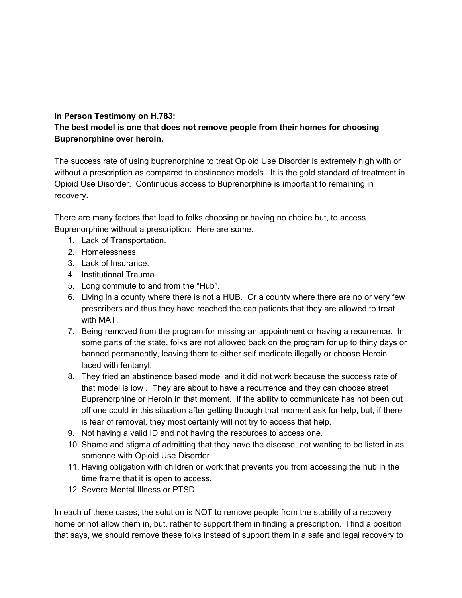#### **In Person Testimony on H.783:**

#### **The best model is one that does not remove people from their homes for choosing Buprenorphine over heroin.**

The success rate of using buprenorphine to treat Opioid Use Disorder is extremely high with or without a prescription as compared to abstinence models. It is the gold standard of treatment in Opioid Use Disorder. Continuous access to Buprenorphine is important to remaining in recovery.

There are many factors that lead to folks choosing or having no choice but, to access Buprenorphine without a prescription: Here are some.

- 1. Lack of Transportation.
- 2. Homelessness.
- 3. Lack of Insurance.
- 4. Institutional Trauma.
- 5. Long commute to and from the "Hub".
- 6. Living in a county where there is not a HUB. Or a county where there are no or very few prescribers and thus they have reached the cap patients that they are allowed to treat with MAT.
- 7. Being removed from the program for missing an appointment or having a recurrence. In some parts of the state, folks are not allowed back on the program for up to thirty days or banned permanently, leaving them to either self medicate illegally or choose Heroin laced with fentanyl.
- 8. They tried an abstinence based model and it did not work because the success rate of that model is low . They are about to have a recurrence and they can choose street Buprenorphine or Heroin in that moment. If the ability to communicate has not been cut off one could in this situation after getting through that moment ask for help, but, if there is fear of removal, they most certainly will not try to access that help.
- 9. Not having a valid ID and not having the resources to access one.
- 10. Shame and stigma of admitting that they have the disease, not wanting to be listed in as someone with Opioid Use Disorder.
- 11. Having obligation with children or work that prevents you from accessing the hub in the time frame that it is open to access.
- 12. Severe Mental Illness or PTSD.

In each of these cases, the solution is NOT to remove people from the stability of a recovery home or not allow them in, but, rather to support them in finding a prescription. I find a position that says, we should remove these folks instead of support them in a safe and legal recovery to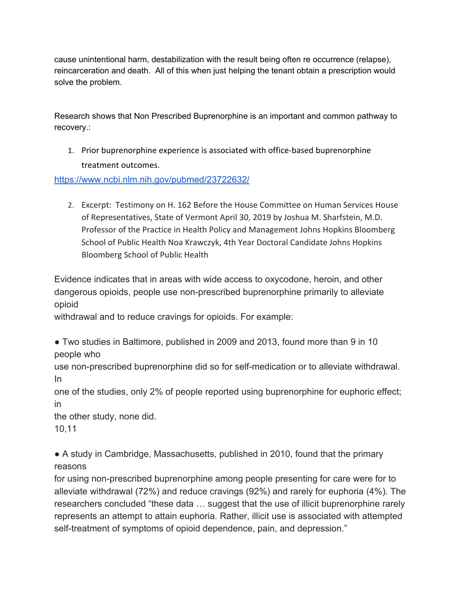cause unintentional harm, destabilization with the result being often re occurrence (relapse), reincarceration and death. All of this when just helping the tenant obtain a prescription would solve the problem.

Research shows that Non Prescribed Buprenorphine is an important and common pathway to recovery.:

1. Prior buprenorphine experience is associated with office-based buprenorphine treatment outcomes.

<https://www.ncbi.nlm.nih.gov/pubmed/23722632/>

2. Excerpt: Testimony on H. 162 Before the House Committee on Human Services House of Representatives, State of Vermont April 30, 2019 by Joshua M. Sharfstein, M.D. Professor of the Practice in Health Policy and Management Johns Hopkins Bloomberg School of Public Health Noa Krawczyk, 4th Year Doctoral Candidate Johns Hopkins Bloomberg School of Public Health

Evidence indicates that in areas with wide access to oxycodone, heroin, and other dangerous opioids, people use non-prescribed buprenorphine primarily to alleviate opioid

withdrawal and to reduce cravings for opioids. For example:

● Two studies in Baltimore, published in 2009 and 2013, found more than 9 in 10 people who

use non-prescribed buprenorphine did so for self-medication or to alleviate withdrawal. In

one of the studies, only 2% of people reported using buprenorphine for euphoric effect; in

the other study, none did.

10,11

● A study in Cambridge, Massachusetts, published in 2010, found that the primary reasons

for using non-prescribed buprenorphine among people presenting for care were for to alleviate withdrawal (72%) and reduce cravings (92%) and rarely for euphoria (4%). The researchers concluded "these data … suggest that the use of illicit buprenorphine rarely represents an attempt to attain euphoria. Rather, illicit use is associated with attempted self-treatment of symptoms of opioid dependence, pain, and depression."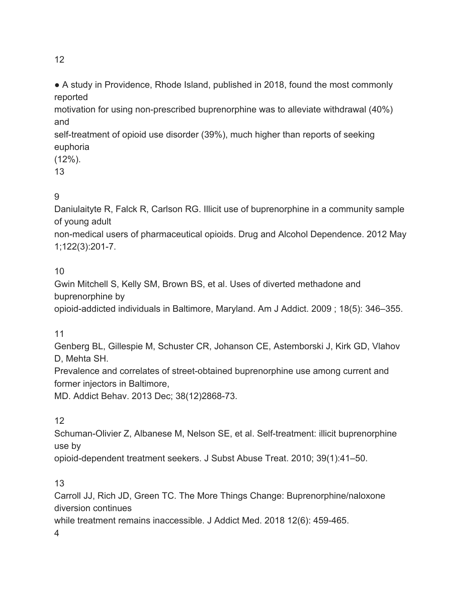12

• A study in Providence, Rhode Island, published in 2018, found the most commonly reported

motivation for using non-prescribed buprenorphine was to alleviate withdrawal (40%) and

self-treatment of opioid use disorder (39%), much higher than reports of seeking euphoria

(12%).

13

# 9

Daniulaityte R, Falck R, Carlson RG. Illicit use of buprenorphine in a community sample of young adult

non-medical users of pharmaceutical opioids. Drug and Alcohol Dependence. 2012 May 1;122(3):201-7.

10

Gwin Mitchell S, Kelly SM, Brown BS, et al. Uses of diverted methadone and buprenorphine by

opioid-addicted individuals in Baltimore, Maryland. Am J Addict. 2009 ; 18(5): 346–355.

11

Genberg BL, Gillespie M, Schuster CR, Johanson CE, Astemborski J, Kirk GD, Vlahov D, Mehta SH.

Prevalence and correlates of street-obtained buprenorphine use among current and former injectors in Baltimore,

MD. Addict Behav. 2013 Dec; 38(12)2868-73.

12

Schuman-Olivier Z, Albanese M, Nelson SE, et al. Self-treatment: illicit buprenorphine use by

opioid-dependent treatment seekers. J Subst Abuse Treat. 2010; 39(1):41–50.

13

Carroll JJ, Rich JD, Green TC. The More Things Change: Buprenorphine/naloxone diversion continues

while treatment remains inaccessible. J Addict Med. 2018 12(6): 459-465.

4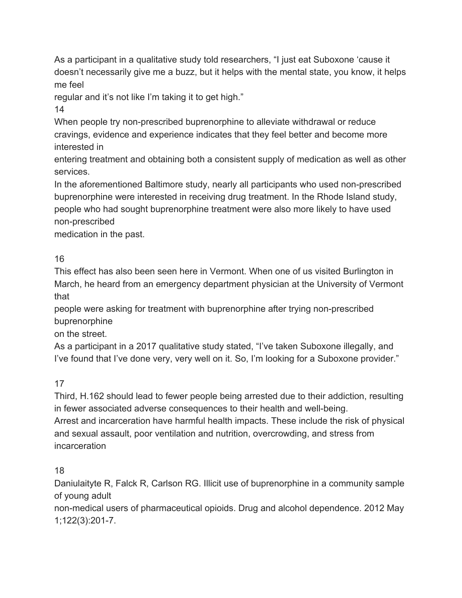As a participant in a qualitative study told researchers, "I just eat Suboxone 'cause it doesn't necessarily give me a buzz, but it helps with the mental state, you know, it helps me feel

regular and it's not like I'm taking it to get high."

14

When people try non-prescribed buprenorphine to alleviate withdrawal or reduce cravings, evidence and experience indicates that they feel better and become more interested in

entering treatment and obtaining both a consistent supply of medication as well as other services.

In the aforementioned Baltimore study, nearly all participants who used non-prescribed buprenorphine were interested in receiving drug treatment. In the Rhode Island study, people who had sought buprenorphine treatment were also more likely to have used non-prescribed

medication in the past.

## 16

This effect has also been seen here in Vermont. When one of us visited Burlington in March, he heard from an emergency department physician at the University of Vermont that

people were asking for treatment with buprenorphine after trying non-prescribed buprenorphine

on the street.

As a participant in a 2017 qualitative study stated, "I've taken Suboxone illegally, and I've found that I've done very, very well on it. So, I'm looking for a Suboxone provider."

17

Third, H.162 should lead to fewer people being arrested due to their addiction, resulting in fewer associated adverse consequences to their health and well-being.

Arrest and incarceration have harmful health impacts. These include the risk of physical and sexual assault, poor ventilation and nutrition, overcrowding, and stress from incarceration

### 18

Daniulaityte R, Falck R, Carlson RG. Illicit use of buprenorphine in a community sample of young adult

non-medical users of pharmaceutical opioids. Drug and alcohol dependence. 2012 May 1;122(3):201-7.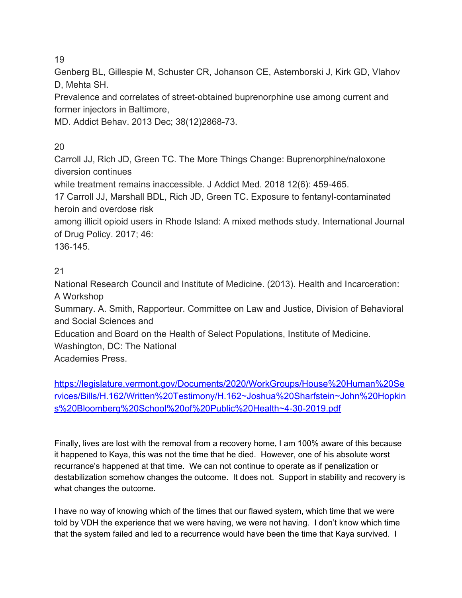19

Genberg BL, Gillespie M, Schuster CR, Johanson CE, Astemborski J, Kirk GD, Vlahov D, Mehta SH.

Prevalence and correlates of street-obtained buprenorphine use among current and former injectors in Baltimore,

MD. Addict Behav. 2013 Dec; 38(12)2868-73.

## 20

Carroll JJ, Rich JD, Green TC. The More Things Change: Buprenorphine/naloxone diversion continues

while treatment remains inaccessible. J Addict Med. 2018 12(6): 459-465.

17 Carroll JJ, Marshall BDL, Rich JD, Green TC. Exposure to fentanyl-contaminated heroin and overdose risk

among illicit opioid users in Rhode Island: A mixed methods study. International Journal of Drug Policy. 2017; 46:

136-145.

### 21

National Research Council and Institute of Medicine. (2013). Health and Incarceration: A Workshop

Summary. A. Smith, Rapporteur. Committee on Law and Justice, Division of Behavioral and Social Sciences and

Education and Board on the Health of Select Populations, Institute of Medicine.

Washington, DC: The National

Academies Press.

[https://legislature.vermont.gov/Documents/2020/WorkGroups/House%20Human%20Se](https://legislature.vermont.gov/Documents/2020/WorkGroups/House%20Human%20Services/Bills/H.162/Written%20Testimony/H.162~Joshua%20Sharfstein~John%20Hopkins%20Bloomberg%20School%20of%20Public%20Health~4-30-2019.pdf) [rvices/Bills/H.162/Written%20Testimony/H.162~Joshua%20Sharfstein~John%20Hopkin](https://legislature.vermont.gov/Documents/2020/WorkGroups/House%20Human%20Services/Bills/H.162/Written%20Testimony/H.162~Joshua%20Sharfstein~John%20Hopkins%20Bloomberg%20School%20of%20Public%20Health~4-30-2019.pdf) [s%20Bloomberg%20School%20of%20Public%20Health~4-30-2019.pdf](https://legislature.vermont.gov/Documents/2020/WorkGroups/House%20Human%20Services/Bills/H.162/Written%20Testimony/H.162~Joshua%20Sharfstein~John%20Hopkins%20Bloomberg%20School%20of%20Public%20Health~4-30-2019.pdf)

Finally, lives are lost with the removal from a recovery home, I am 100% aware of this because it happened to Kaya, this was not the time that he died. However, one of his absolute worst recurrance's happened at that time. We can not continue to operate as if penalization or destabilization somehow changes the outcome. It does not. Support in stability and recovery is what changes the outcome.

I have no way of knowing which of the times that our flawed system, which time that we were told by VDH the experience that we were having, we were not having. I don't know which time that the system failed and led to a recurrence would have been the time that Kaya survived. I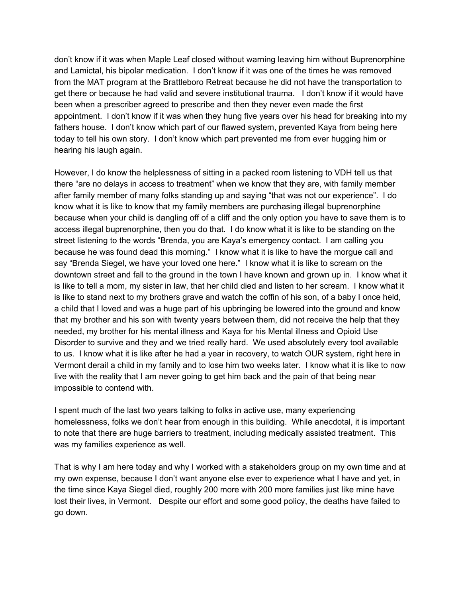don't know if it was when Maple Leaf closed without warning leaving him without Buprenorphine and Lamictal, his bipolar medication. I don't know if it was one of the times he was removed from the MAT program at the Brattleboro Retreat because he did not have the transportation to get there or because he had valid and severe institutional trauma. I don't know if it would have been when a prescriber agreed to prescribe and then they never even made the first appointment. I don't know if it was when they hung five years over his head for breaking into my fathers house. I don't know which part of our flawed system, prevented Kaya from being here today to tell his own story. I don't know which part prevented me from ever hugging him or hearing his laugh again.

However, I do know the helplessness of sitting in a packed room listening to VDH tell us that there "are no delays in access to treatment" when we know that they are, with family member after family member of many folks standing up and saying "that was not our experience". I do know what it is like to know that my family members are purchasing illegal buprenorphine because when your child is dangling off of a cliff and the only option you have to save them is to access illegal buprenorphine, then you do that. I do know what it is like to be standing on the street listening to the words "Brenda, you are Kaya's emergency contact. I am calling you because he was found dead this morning." I know what it is like to have the morgue call and say "Brenda Siegel, we have your loved one here." I know what it is like to scream on the downtown street and fall to the ground in the town I have known and grown up in. I know what it is like to tell a mom, my sister in law, that her child died and listen to her scream. I know what it is like to stand next to my brothers grave and watch the coffin of his son, of a baby I once held, a child that I loved and was a huge part of his upbringing be lowered into the ground and know that my brother and his son with twenty years between them, did not receive the help that they needed, my brother for his mental illness and Kaya for his Mental illness and Opioid Use Disorder to survive and they and we tried really hard. We used absolutely every tool available to us. I know what it is like after he had a year in recovery, to watch OUR system, right here in Vermont derail a child in my family and to lose him two weeks later. I know what it is like to now live with the reality that I am never going to get him back and the pain of that being near impossible to contend with.

I spent much of the last two years talking to folks in active use, many experiencing homelessness, folks we don't hear from enough in this building. While anecdotal, it is important to note that there are huge barriers to treatment, including medically assisted treatment. This was my families experience as well.

That is why I am here today and why I worked with a stakeholders group on my own time and at my own expense, because I don't want anyone else ever to experience what I have and yet, in the time since Kaya Siegel died, roughly 200 more with 200 more families just like mine have lost their lives, in Vermont. Despite our effort and some good policy, the deaths have failed to go down.